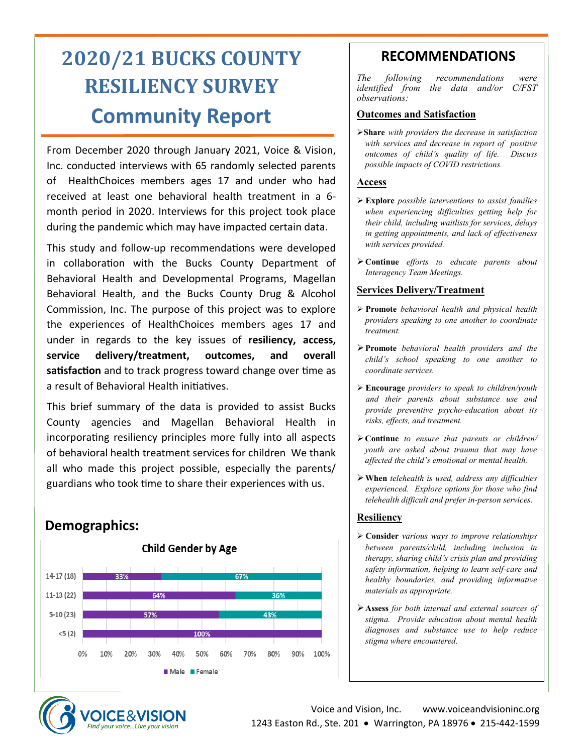# **2020/21 BUCKS COUNTY RESILIENCY SURVEY Community Report**

From December 2020 through January 2021, Voice & Vision, Inc. conducted interviews with 65 randomly selected parents of HealthChoices members ages 17 and under who had received at least one behavioral health treatment in a 6 month period in 2020. Interviews for this project took place during the pandemic which may have impacted certain data.

This study and follow-up recommendations were developed in collaboration with the Bucks County Department of Behavioral Health and Developmental Programs, Magellan Behavioral Health, and the Bucks County Drug & Alcohol Commission, Inc. The purpose of this project was to explore the experiences of HealthChoices members ages 17 and under in regards to the key issues of **resiliency, access, service delivery/treatment, outcomes, and overall satisfaction** and to track progress toward change over time as a result of Behavioral Health initiatives.

This brief summary of the data is provided to assist Bucks County agencies and Magellan Behavioral Health in incorporating resiliency principles more fully into all aspects of behavioral health treatment services for children We thank all who made this project possible, especially the parents/ guardians who took time to share their experiences with us.

# **Demographics:**



# **RECOMMENDATIONS**

*The following recommendations were identified from the data and/or C/FST observations:* 

#### **Outcomes and Satisfaction**

➢**Share** *with providers the decrease in satisfaction with services and decrease in report of positive outcomes of child's quality of life. Discuss possible impacts of COVID restrictions.*

#### **Access**

- ➢ **Explore** *possible interventions to assist families when experiencing difficulties getting help for their child, including waitlists for services, delays in getting appointments, and lack of effectiveness with services provided.*
- ➢**Continue** *efforts to educate parents about Interagency Team Meetings.*

#### **Services Delivery/Treatment**

- ➢ **Promote** *behavioral health and physical health providers speaking to one another to coordinate treatment.*
- ➢**Promote** *behavioral health providers and the child's school speaking to one another to coordinate services.*
- ➢ **Encourage** *providers to speak to children/youth and their parents about substance use and provide preventive psycho-education about its risks, effects, and treatment.*
- ➢**Continue** *to ensure that parents or children/ youth are asked about trauma that may have affected the child's emotional or mental health.*
- ➢**When** *telehealth is used, address any difficulties experienced. Explore options for those who find telehealth difficult and prefer in-person services.*

#### **Resiliency**

- ➢ **Consider** *various ways to improve relationships between parents/child, including inclusion in therapy, sharing child's crisis plan and providing safety information, helping to learn self-care and healthy boundaries, and providing informative materials as appropriate.*
- ➢**Assess** *for both internal and external sources of stigma. Provide education about mental health diagnoses and substance use to help reduce stigma where encountered.*

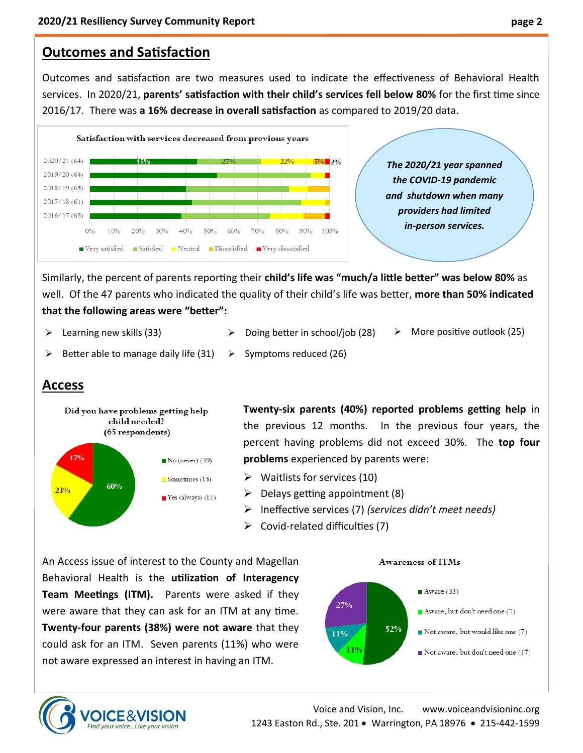# **Outcomes and Satisfaction**

Outcomes and satisfaction are two measures used to indicate the effectiveness of Behavioral Health services. In 2020/21, **parents' satisfaction with their child's services fell below 80%** for the first time since 2016/17. There was **a 16% decrease in overall satisfaction** as compared to 2019/20 data.



Similarly, the percent of parents reporting their **child's life was "much/a little better" was below 80%** as well. Of the 47 parents who indicated the quality of their child's life was better, **more than 50% indicated that the following areas were "better":** 

- $\triangleright$  Learning new skills (33)
- ➢ Doing better in school/job (28) ➢ More positive outlook (25)
- ➢ Better able to manage daily life (31) ➢ Symptoms reduced (26)

# **Access**



**OICE&VISIC** Find vour voice...Live vour vision **Twenty-six parents (40%) reported problems getting help** in the previous 12 months. In the previous four years, the percent having problems did not exceed 30%. The **top four problems** experienced by parents were:

- $\triangleright$  Waitlists for services (10)
- $\triangleright$  Delays getting appointment (8)
- ➢ Ineffective services (7) *(services didn't meet needs)*
- $\triangleright$  Covid-related difficulties (7)

An Access issue of interest to the County and Magellan Behavioral Health is the **utilization of Interagency Team Meetings (ITM).** Parents were asked if they were aware that they can ask for an ITM at any time. **Twenty-four parents (38%) were not aware** that they could ask for an ITM. Seven parents (11%) who were not aware expressed an interest in having an ITM.



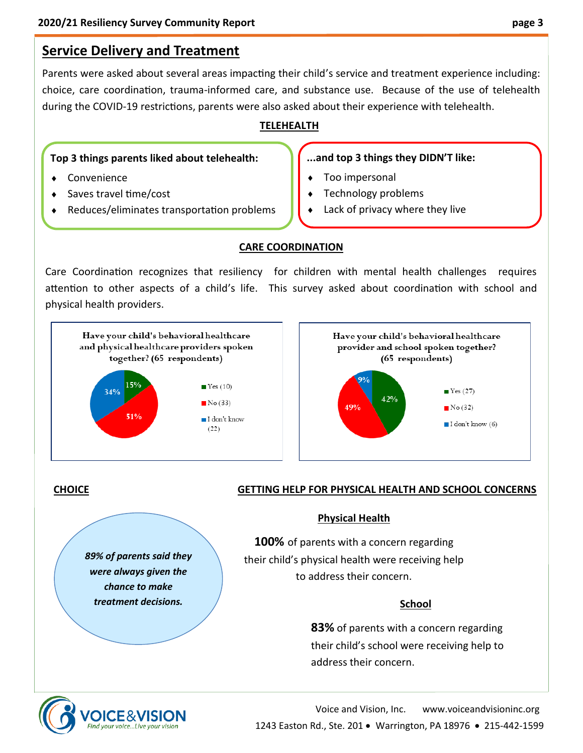# **Service Delivery and Treatment**

Parents were asked about several areas impacting their child's service and treatment experience including: choice, care coordination, trauma-informed care, and substance use. Because of the use of telehealth during the COVID-19 restrictions, parents were also asked about their experience with telehealth.

# **TELEHEALTH**

### **Top 3 things parents liked about telehealth:**

- Convenience
- Saves travel time/cost
- Reduces/eliminates transportation problems

## **...and top 3 things they DIDN'T like:**

- Too impersonal
- Technology problems
- Lack of privacy where they live

# **CARE COORDINATION**

Care Coordination recognizes that resiliency for children with mental health challenges requires attention to other aspects of a child's life. This survey asked about coordination with school and physical health providers.





# **CHOICE**

### **GETTING HELP FOR PHYSICAL HEALTH AND SCHOOL CONCERNS**

#### **Physical Health**

**100%** of parents with a concern regarding their child's physical health were receiving help to address their concern.

# **School**

**83%** of parents with a concern regarding their child's school were receiving help to address their concern.



*89% of parents said they were always given the chance to make treatment decisions.*